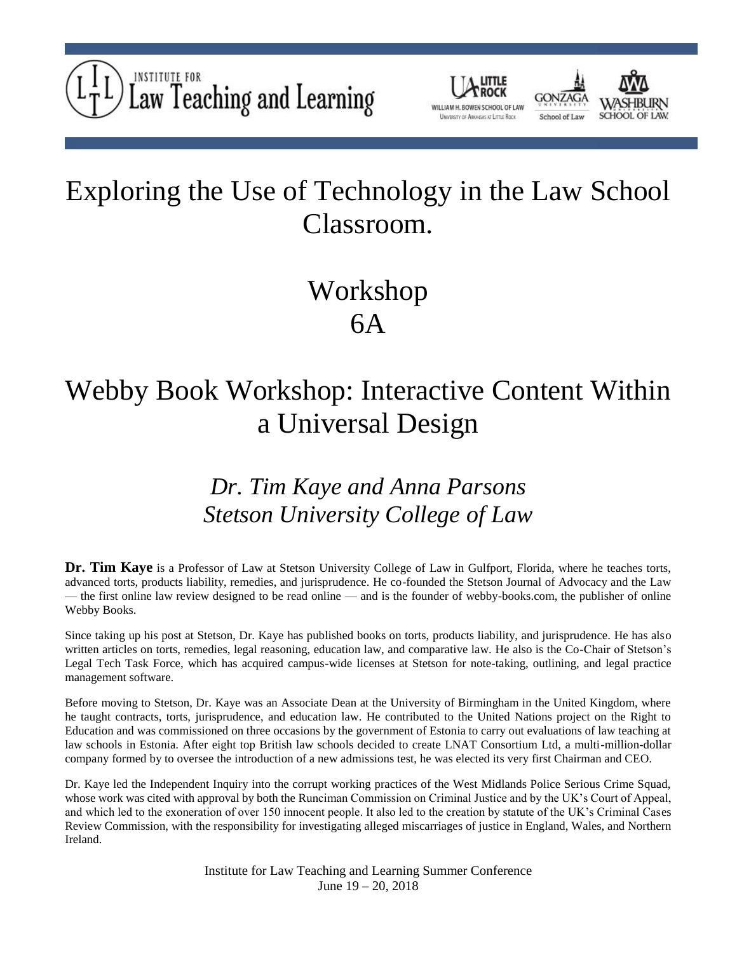



## Exploring the Use of Technology in the Law School Classroom.

## Workshop 6A

## Webby Book Workshop: Interactive Content Within a Universal Design

### *Dr. Tim Kaye and Anna Parsons Stetson University College of Law*

**Dr. Tim Kaye** is a Professor of Law at Stetson University College of Law in Gulfport, Florida, where he teaches torts, advanced torts, products liability, remedies, and jurisprudence. He co-founded the Stetson Journal of Advocacy and the Law — the first online law review designed to be read online — and is the founder of webby-books.com, the publisher of online Webby Books.

Since taking up his post at Stetson, Dr. Kaye has published books on torts, products liability, and jurisprudence. He has also written articles on torts, remedies, legal reasoning, education law, and comparative law. He also is the Co-Chair of Stetson's Legal Tech Task Force, which has acquired campus-wide licenses at Stetson for note-taking, outlining, and legal practice management software.

Before moving to Stetson, Dr. Kaye was an Associate Dean at the University of Birmingham in the United Kingdom, where he taught contracts, torts, jurisprudence, and education law. He contributed to the United Nations project on the Right to Education and was commissioned on three occasions by the government of Estonia to carry out evaluations of law teaching at law schools in Estonia. After eight top British law schools decided to create LNAT Consortium Ltd, a multi-million-dollar company formed by to oversee the introduction of a new admissions test, he was elected its very first Chairman and CEO.

Dr. Kaye led the Independent Inquiry into the corrupt working practices of the West Midlands Police Serious Crime Squad, whose work was cited with approval by both the Runciman Commission on Criminal Justice and by the UK's Court of Appeal, and which led to the exoneration of over 150 innocent people. It also led to the creation by statute of the UK's Criminal Cases Review Commission, with the responsibility for investigating alleged miscarriages of justice in England, Wales, and Northern Ireland.

> Institute for Law Teaching and Learning Summer Conference June 19 – 20, 2018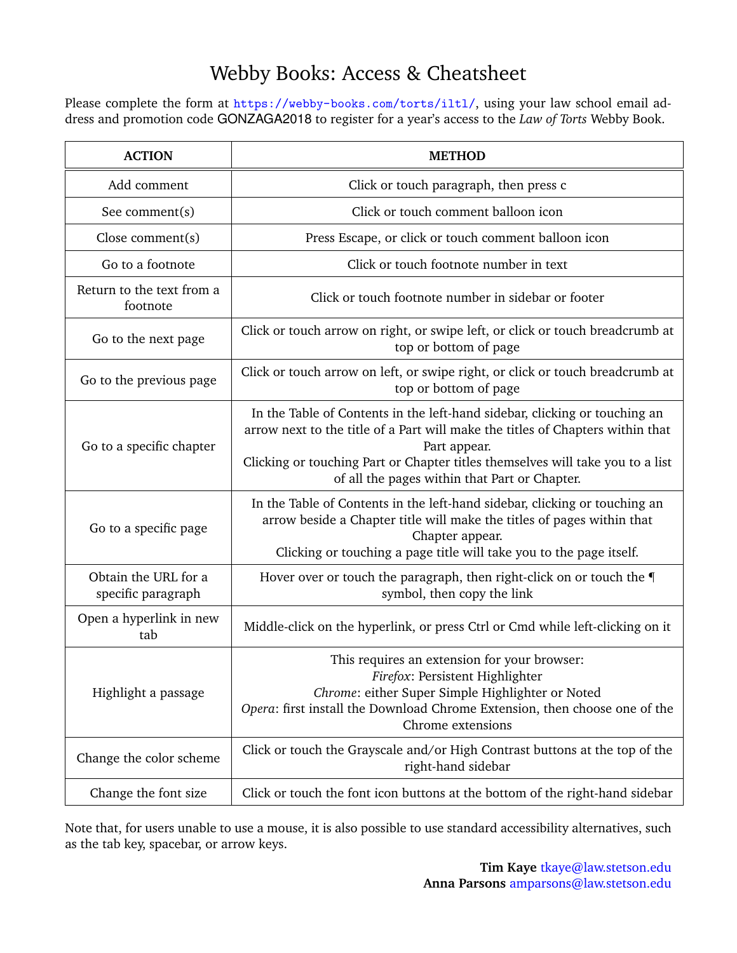### Webby Books: Access & Cheatsheet

Please complete the form at <https://webby-books.com/torts/iltl/>, using your law school email address and promotion code GONZAGA2018 to register for a year's access to the *Law of Torts* Webby Book.

| <b>ACTION</b>                              | <b>METHOD</b>                                                                                                                                                                                                                                                                                                   |
|--------------------------------------------|-----------------------------------------------------------------------------------------------------------------------------------------------------------------------------------------------------------------------------------------------------------------------------------------------------------------|
| Add comment                                | Click or touch paragraph, then press c                                                                                                                                                                                                                                                                          |
| See comment $(s)$                          | Click or touch comment balloon icon                                                                                                                                                                                                                                                                             |
| Close comment $(s)$                        | Press Escape, or click or touch comment balloon icon                                                                                                                                                                                                                                                            |
| Go to a footnote                           | Click or touch footnote number in text                                                                                                                                                                                                                                                                          |
| Return to the text from a<br>footnote      | Click or touch footnote number in sidebar or footer                                                                                                                                                                                                                                                             |
| Go to the next page                        | Click or touch arrow on right, or swipe left, or click or touch breadcrumb at<br>top or bottom of page                                                                                                                                                                                                          |
| Go to the previous page                    | Click or touch arrow on left, or swipe right, or click or touch breadcrumb at<br>top or bottom of page                                                                                                                                                                                                          |
| Go to a specific chapter                   | In the Table of Contents in the left-hand sidebar, clicking or touching an<br>arrow next to the title of a Part will make the titles of Chapters within that<br>Part appear.<br>Clicking or touching Part or Chapter titles themselves will take you to a list<br>of all the pages within that Part or Chapter. |
| Go to a specific page                      | In the Table of Contents in the left-hand sidebar, clicking or touching an<br>arrow beside a Chapter title will make the titles of pages within that<br>Chapter appear.<br>Clicking or touching a page title will take you to the page itself.                                                                  |
| Obtain the URL for a<br>specific paragraph | Hover over or touch the paragraph, then right-click on or touch the<br>symbol, then copy the link                                                                                                                                                                                                               |
| Open a hyperlink in new<br>tab             | Middle-click on the hyperlink, or press Ctrl or Cmd while left-clicking on it                                                                                                                                                                                                                                   |
| Highlight a passage                        | This requires an extension for your browser:<br>Firefox: Persistent Highlighter<br>Chrome: either Super Simple Highlighter or Noted<br>Opera: first install the Download Chrome Extension, then choose one of the<br>Chrome extensions                                                                          |
| Change the color scheme                    | Click or touch the Grayscale and/or High Contrast buttons at the top of the<br>right-hand sidebar                                                                                                                                                                                                               |
| Change the font size                       | Click or touch the font icon buttons at the bottom of the right-hand sidebar                                                                                                                                                                                                                                    |

Note that, for users unable to use a mouse, it is also possible to use standard accessibility alternatives, such as the tab key, spacebar, or arrow keys.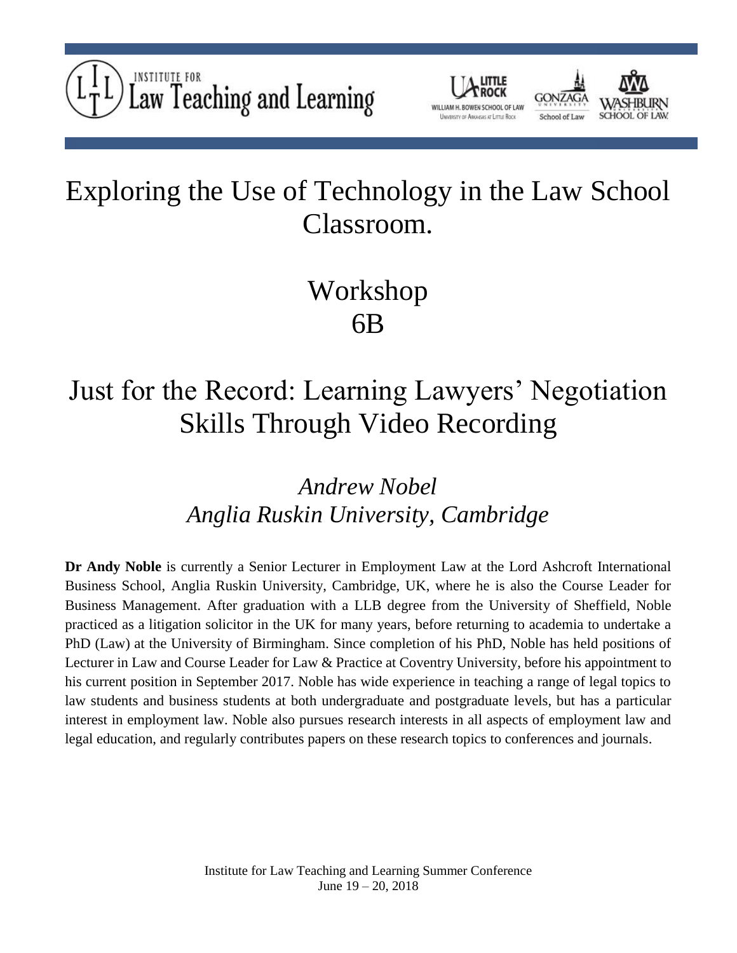



## Exploring the Use of Technology in the Law School Classroom.

## Workshop 6B

# Just for the Record: Learning Lawyers' Negotiation Skills Through Video Recording

*Andrew Nobel Anglia Ruskin University, Cambridge*

**Dr Andy Noble** is currently a Senior Lecturer in Employment Law at the Lord Ashcroft International Business School, Anglia Ruskin University, Cambridge, UK, where he is also the Course Leader for Business Management. After graduation with a LLB degree from the University of Sheffield, Noble practiced as a litigation solicitor in the UK for many years, before returning to academia to undertake a PhD (Law) at the University of Birmingham. Since completion of his PhD, Noble has held positions of Lecturer in Law and Course Leader for Law & Practice at Coventry University, before his appointment to his current position in September 2017. Noble has wide experience in teaching a range of legal topics to law students and business students at both undergraduate and postgraduate levels, but has a particular interest in employment law. Noble also pursues research interests in all aspects of employment law and legal education, and regularly contributes papers on these research topics to conferences and journals.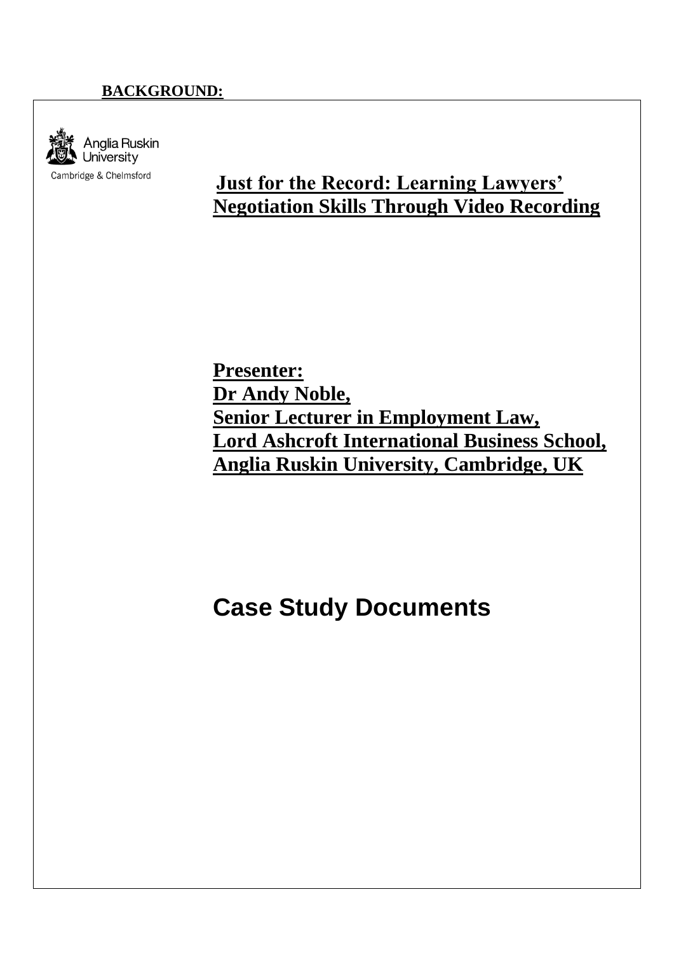### **BACKGROUND:**



### **Just for the Record: Learning Lawyers' Negotiation Skills Through Video Recording**

**Presenter: Dr Andy Noble, Senior Lecturer in Employment Law, Lord Ashcroft International Business School, Anglia Ruskin University, Cambridge, UK**

### **Case Study Documents**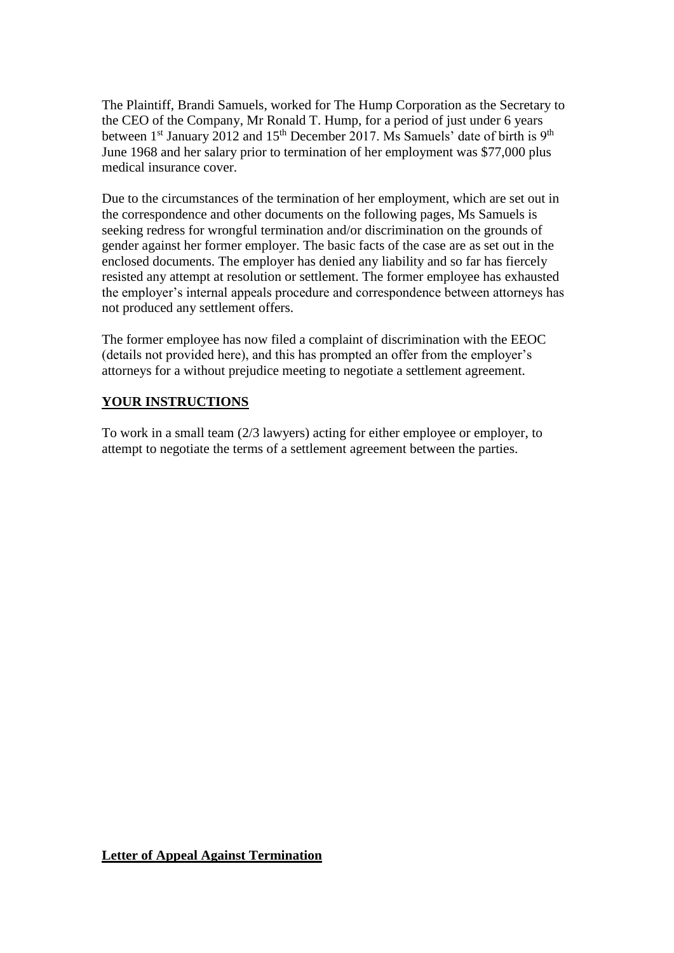The Plaintiff, Brandi Samuels, worked for The Hump Corporation as the Secretary to the CEO of the Company, Mr Ronald T. Hump, for a period of just under 6 years between 1<sup>st</sup> January 2012 and 15<sup>th</sup> December 2017. Ms Samuels' date of birth is 9<sup>th</sup> June 1968 and her salary prior to termination of her employment was \$77,000 plus medical insurance cover.

Due to the circumstances of the termination of her employment, which are set out in the correspondence and other documents on the following pages, Ms Samuels is seeking redress for wrongful termination and/or discrimination on the grounds of gender against her former employer. The basic facts of the case are as set out in the enclosed documents. The employer has denied any liability and so far has fiercely resisted any attempt at resolution or settlement. The former employee has exhausted the employer's internal appeals procedure and correspondence between attorneys has not produced any settlement offers.

The former employee has now filed a complaint of discrimination with the EEOC (details not provided here), and this has prompted an offer from the employer's attorneys for a without prejudice meeting to negotiate a settlement agreement.

#### **YOUR INSTRUCTIONS**

To work in a small team (2/3 lawyers) acting for either employee or employer, to attempt to negotiate the terms of a settlement agreement between the parties.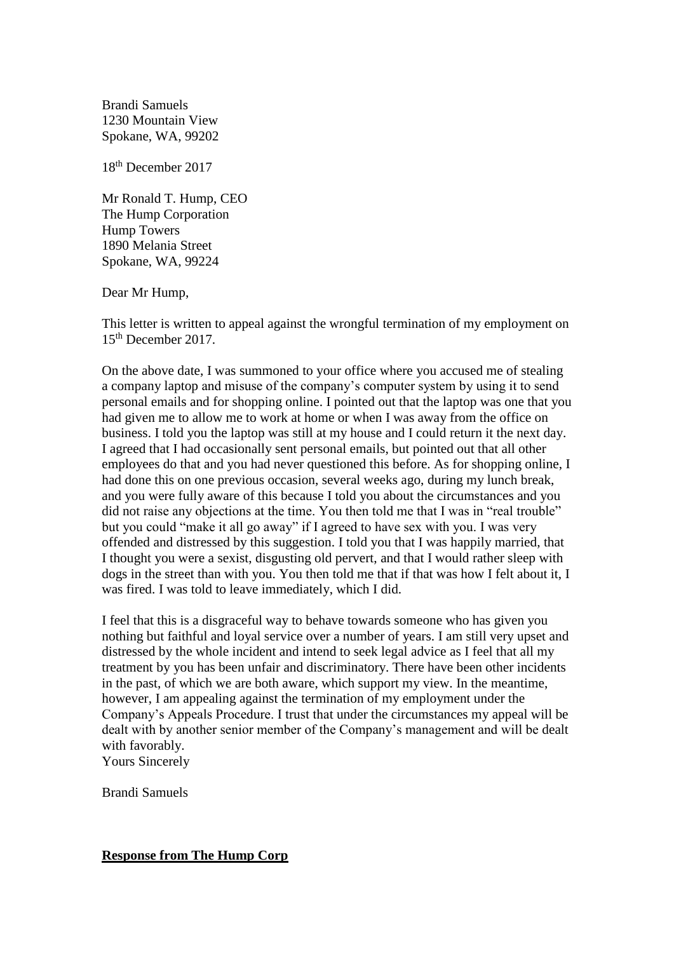Brandi Samuels 1230 Mountain View Spokane, WA, 99202

18th December 2017

Mr Ronald T. Hump, CEO The Hump Corporation Hump Towers 1890 Melania Street Spokane, WA, 99224

Dear Mr Hump,

This letter is written to appeal against the wrongful termination of my employment on 15th December 2017.

On the above date, I was summoned to your office where you accused me of stealing a company laptop and misuse of the company's computer system by using it to send personal emails and for shopping online. I pointed out that the laptop was one that you had given me to allow me to work at home or when I was away from the office on business. I told you the laptop was still at my house and I could return it the next day. I agreed that I had occasionally sent personal emails, but pointed out that all other employees do that and you had never questioned this before. As for shopping online, I had done this on one previous occasion, several weeks ago, during my lunch break, and you were fully aware of this because I told you about the circumstances and you did not raise any objections at the time. You then told me that I was in "real trouble" but you could "make it all go away" if I agreed to have sex with you. I was very offended and distressed by this suggestion. I told you that I was happily married, that I thought you were a sexist, disgusting old pervert, and that I would rather sleep with dogs in the street than with you. You then told me that if that was how I felt about it, I was fired. I was told to leave immediately, which I did.

I feel that this is a disgraceful way to behave towards someone who has given you nothing but faithful and loyal service over a number of years. I am still very upset and distressed by the whole incident and intend to seek legal advice as I feel that all my treatment by you has been unfair and discriminatory. There have been other incidents in the past, of which we are both aware, which support my view. In the meantime, however, I am appealing against the termination of my employment under the Company's Appeals Procedure. I trust that under the circumstances my appeal will be dealt with by another senior member of the Company's management and will be dealt with favorably.

Yours Sincerely

Brandi Samuels

#### **Response from The Hump Corp**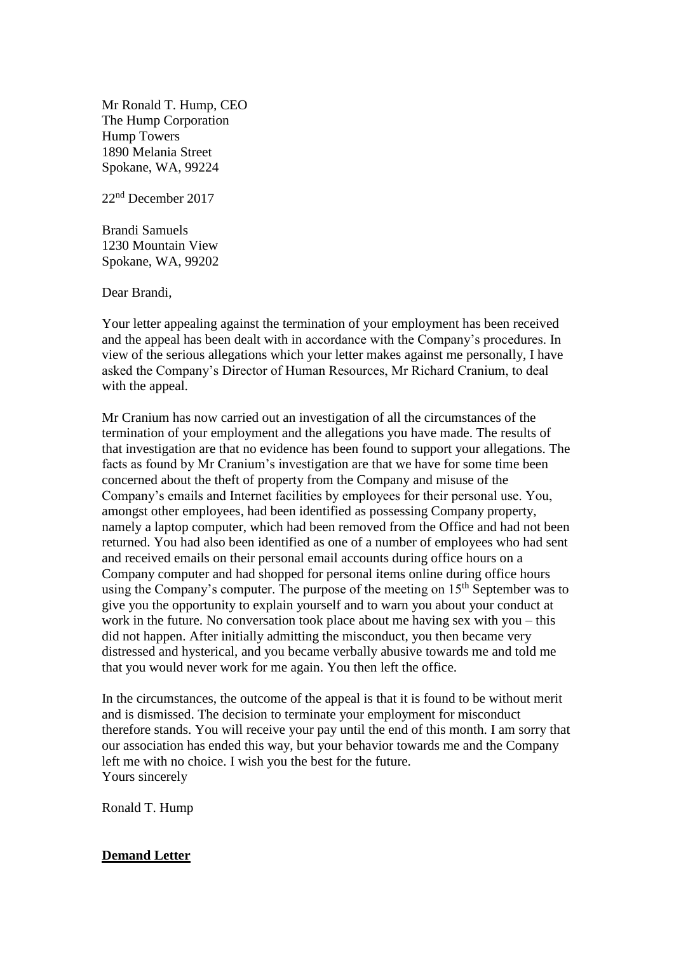Mr Ronald T. Hump, CEO The Hump Corporation Hump Towers 1890 Melania Street Spokane, WA, 99224

22nd December 2017

Brandi Samuels 1230 Mountain View Spokane, WA, 99202

Dear Brandi,

Your letter appealing against the termination of your employment has been received and the appeal has been dealt with in accordance with the Company's procedures. In view of the serious allegations which your letter makes against me personally, I have asked the Company's Director of Human Resources, Mr Richard Cranium, to deal with the appeal.

Mr Cranium has now carried out an investigation of all the circumstances of the termination of your employment and the allegations you have made. The results of that investigation are that no evidence has been found to support your allegations. The facts as found by Mr Cranium's investigation are that we have for some time been concerned about the theft of property from the Company and misuse of the Company's emails and Internet facilities by employees for their personal use. You, amongst other employees, had been identified as possessing Company property, namely a laptop computer, which had been removed from the Office and had not been returned. You had also been identified as one of a number of employees who had sent and received emails on their personal email accounts during office hours on a Company computer and had shopped for personal items online during office hours using the Company's computer. The purpose of the meeting on  $15<sup>th</sup>$  September was to give you the opportunity to explain yourself and to warn you about your conduct at work in the future. No conversation took place about me having sex with you – this did not happen. After initially admitting the misconduct, you then became very distressed and hysterical, and you became verbally abusive towards me and told me that you would never work for me again. You then left the office.

In the circumstances, the outcome of the appeal is that it is found to be without merit and is dismissed. The decision to terminate your employment for misconduct therefore stands. You will receive your pay until the end of this month. I am sorry that our association has ended this way, but your behavior towards me and the Company left me with no choice. I wish you the best for the future. Yours sincerely

Ronald T. Hump

#### **Demand Letter**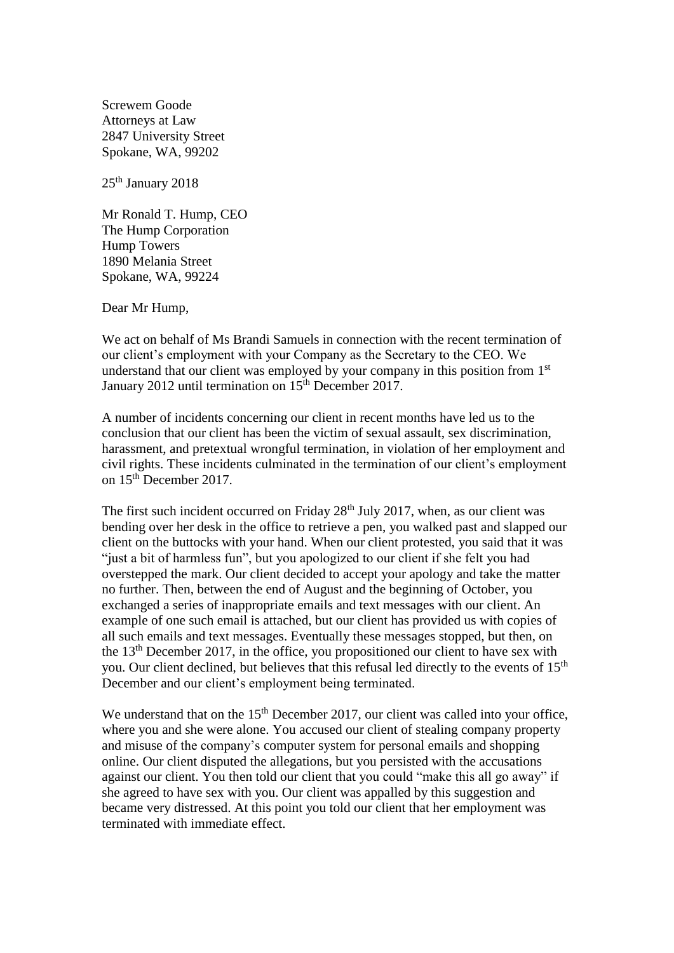Screwem Goode Attorneys at Law 2847 University Street Spokane, WA, 99202

25<sup>th</sup> January 2018

Mr Ronald T. Hump, CEO The Hump Corporation Hump Towers 1890 Melania Street Spokane, WA, 99224

Dear Mr Hump,

We act on behalf of Ms Brandi Samuels in connection with the recent termination of our client's employment with your Company as the Secretary to the CEO. We understand that our client was employed by your company in this position from 1<sup>st</sup> January 2012 until termination on 15<sup>th</sup> December 2017.

A number of incidents concerning our client in recent months have led us to the conclusion that our client has been the victim of sexual assault, sex discrimination, harassment, and pretextual wrongful termination, in violation of her employment and civil rights. These incidents culminated in the termination of our client's employment on 15th December 2017.

The first such incident occurred on Friday 28<sup>th</sup> July 2017, when, as our client was bending over her desk in the office to retrieve a pen, you walked past and slapped our client on the buttocks with your hand. When our client protested, you said that it was "just a bit of harmless fun", but you apologized to our client if she felt you had overstepped the mark. Our client decided to accept your apology and take the matter no further. Then, between the end of August and the beginning of October, you exchanged a series of inappropriate emails and text messages with our client. An example of one such email is attached, but our client has provided us with copies of all such emails and text messages. Eventually these messages stopped, but then, on the 13th December 2017, in the office, you propositioned our client to have sex with you. Our client declined, but believes that this refusal led directly to the events of 15<sup>th</sup> December and our client's employment being terminated.

We understand that on the 15<sup>th</sup> December 2017, our client was called into your office, where you and she were alone. You accused our client of stealing company property and misuse of the company's computer system for personal emails and shopping online. Our client disputed the allegations, but you persisted with the accusations against our client. You then told our client that you could "make this all go away" if she agreed to have sex with you. Our client was appalled by this suggestion and became very distressed. At this point you told our client that her employment was terminated with immediate effect.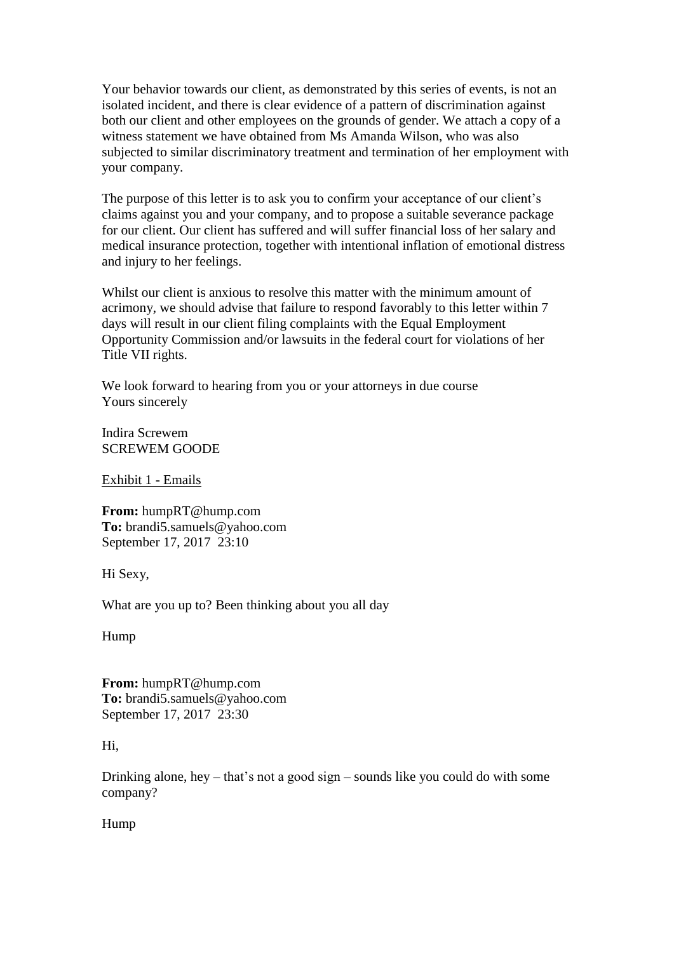Your behavior towards our client, as demonstrated by this series of events, is not an isolated incident, and there is clear evidence of a pattern of discrimination against both our client and other employees on the grounds of gender. We attach a copy of a witness statement we have obtained from Ms Amanda Wilson, who was also subjected to similar discriminatory treatment and termination of her employment with your company.

The purpose of this letter is to ask you to confirm your acceptance of our client's claims against you and your company, and to propose a suitable severance package for our client. Our client has suffered and will suffer financial loss of her salary and medical insurance protection, together with intentional inflation of emotional distress and injury to her feelings.

Whilst our client is anxious to resolve this matter with the minimum amount of acrimony, we should advise that failure to respond favorably to this letter within 7 days will result in our client filing complaints with the Equal Employment Opportunity Commission and/or lawsuits in the federal court for violations of her Title VII rights.

We look forward to hearing from you or your attorneys in due course Yours sincerely

Indira Screwem SCREWEM GOODE

Exhibit 1 - Emails

**From:** humpRT@hump.com **To:** brandi5.samuels@yahoo.com September 17, 2017 23:10

Hi Sexy,

What are you up to? Been thinking about you all day

Hump

**From:** humpRT@hump.com **To:** brandi5.samuels@yahoo.com September 17, 2017 23:30

#### Hi,

Drinking alone, hey – that's not a good sign – sounds like you could do with some company?

Hump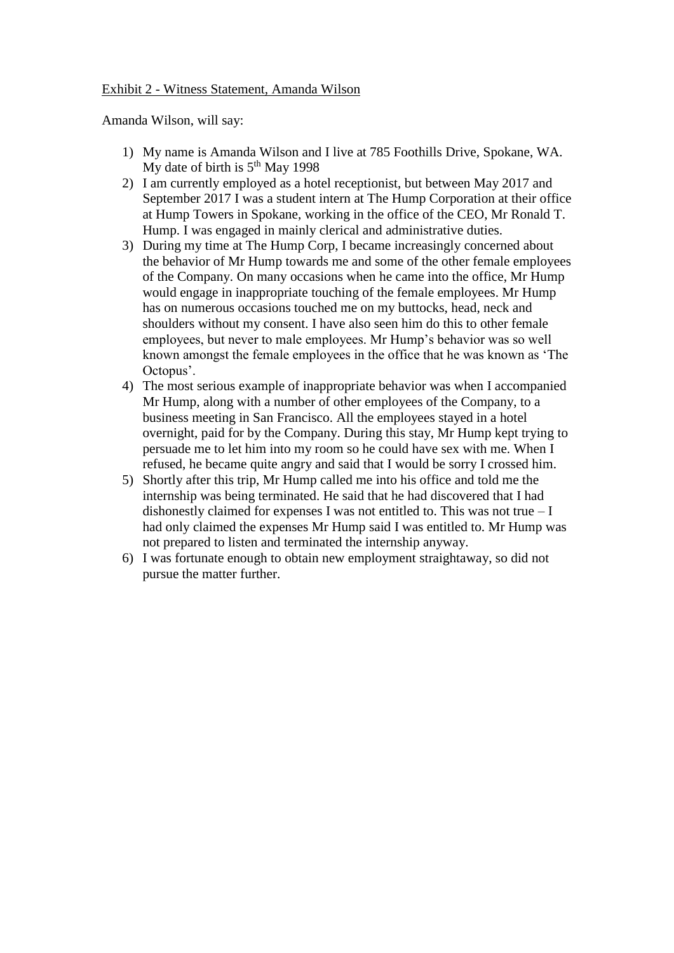#### Exhibit 2 - Witness Statement, Amanda Wilson

Amanda Wilson, will say:

- 1) My name is Amanda Wilson and I live at 785 Foothills Drive, Spokane, WA. My date of birth is  $5<sup>th</sup>$  May 1998
- 2) I am currently employed as a hotel receptionist, but between May 2017 and September 2017 I was a student intern at The Hump Corporation at their office at Hump Towers in Spokane, working in the office of the CEO, Mr Ronald T. Hump. I was engaged in mainly clerical and administrative duties.
- 3) During my time at The Hump Corp, I became increasingly concerned about the behavior of Mr Hump towards me and some of the other female employees of the Company. On many occasions when he came into the office, Mr Hump would engage in inappropriate touching of the female employees. Mr Hump has on numerous occasions touched me on my buttocks, head, neck and shoulders without my consent. I have also seen him do this to other female employees, but never to male employees. Mr Hump's behavior was so well known amongst the female employees in the office that he was known as 'The Octopus'.
- 4) The most serious example of inappropriate behavior was when I accompanied Mr Hump, along with a number of other employees of the Company, to a business meeting in San Francisco. All the employees stayed in a hotel overnight, paid for by the Company. During this stay, Mr Hump kept trying to persuade me to let him into my room so he could have sex with me. When I refused, he became quite angry and said that I would be sorry I crossed him.
- 5) Shortly after this trip, Mr Hump called me into his office and told me the internship was being terminated. He said that he had discovered that I had dishonestly claimed for expenses I was not entitled to. This was not true  $-I$ had only claimed the expenses Mr Hump said I was entitled to. Mr Hump was not prepared to listen and terminated the internship anyway.
- 6) I was fortunate enough to obtain new employment straightaway, so did not pursue the matter further.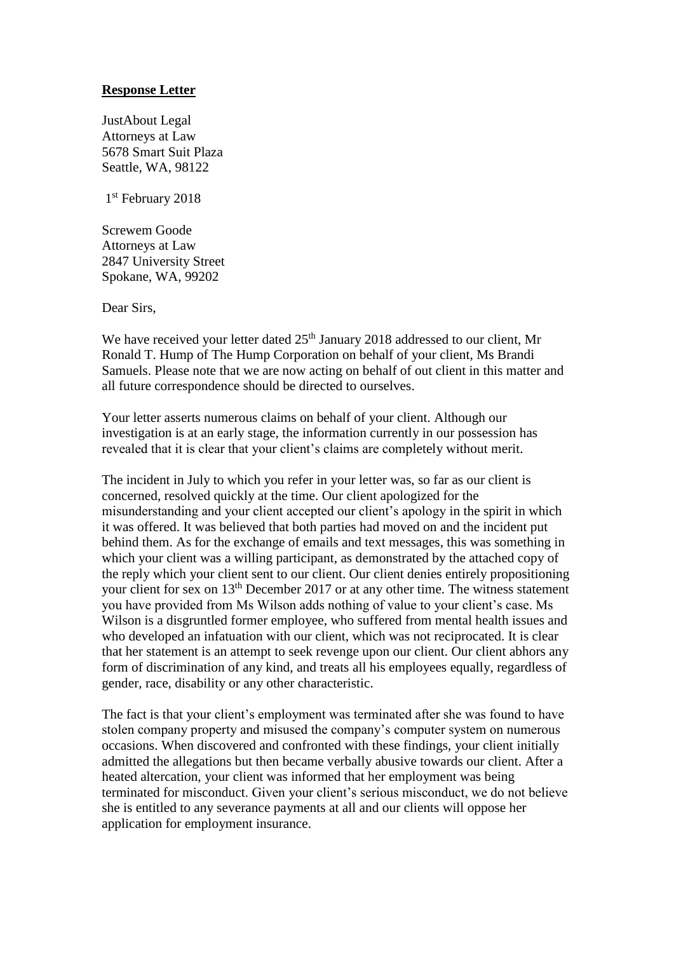#### **Response Letter**

JustAbout Legal Attorneys at Law 5678 Smart Suit Plaza Seattle, WA, 98122

1 st February 2018

Screwem Goode Attorneys at Law 2847 University Street Spokane, WA, 99202

Dear Sirs,

We have received your letter dated 25<sup>th</sup> January 2018 addressed to our client, Mr Ronald T. Hump of The Hump Corporation on behalf of your client, Ms Brandi Samuels. Please note that we are now acting on behalf of out client in this matter and all future correspondence should be directed to ourselves.

Your letter asserts numerous claims on behalf of your client. Although our investigation is at an early stage, the information currently in our possession has revealed that it is clear that your client's claims are completely without merit.

The incident in July to which you refer in your letter was, so far as our client is concerned, resolved quickly at the time. Our client apologized for the misunderstanding and your client accepted our client's apology in the spirit in which it was offered. It was believed that both parties had moved on and the incident put behind them. As for the exchange of emails and text messages, this was something in which your client was a willing participant, as demonstrated by the attached copy of the reply which your client sent to our client. Our client denies entirely propositioning your client for sex on 13th December 2017 or at any other time. The witness statement you have provided from Ms Wilson adds nothing of value to your client's case. Ms Wilson is a disgruntled former employee, who suffered from mental health issues and who developed an infatuation with our client, which was not reciprocated. It is clear that her statement is an attempt to seek revenge upon our client. Our client abhors any form of discrimination of any kind, and treats all his employees equally, regardless of gender, race, disability or any other characteristic.

The fact is that your client's employment was terminated after she was found to have stolen company property and misused the company's computer system on numerous occasions. When discovered and confronted with these findings, your client initially admitted the allegations but then became verbally abusive towards our client. After a heated altercation, your client was informed that her employment was being terminated for misconduct. Given your client's serious misconduct, we do not believe she is entitled to any severance payments at all and our clients will oppose her application for employment insurance.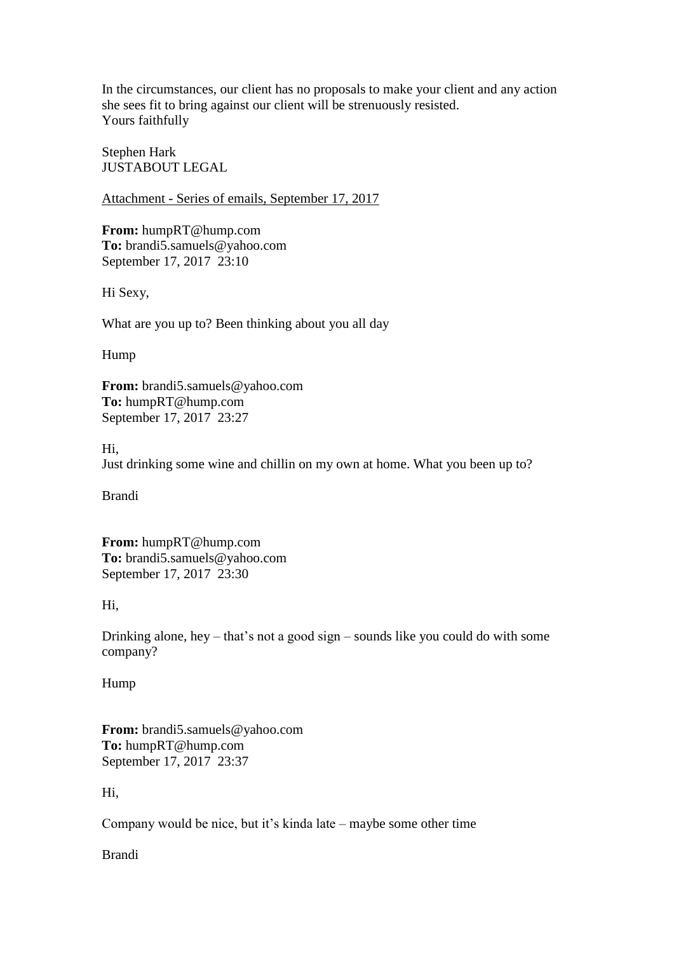In the circumstances, our client has no proposals to make your client and any action she sees fit to bring against our client will be strenuously resisted. Yours faithfully

Stephen Hark JUSTABOUT LEGAL

Attachment - Series of emails, September 17, 2017

**From:** humpRT@hump.com **To:** brandi5.samuels@yahoo.com September 17, 2017 23:10

Hi Sexy,

What are you up to? Been thinking about you all day

Hump

**From:** brandi5.samuels@yahoo.com **To:** humpRT@hump.com September 17, 2017 23:27

Hi,

Just drinking some wine and chillin on my own at home. What you been up to?

Brandi

**From:** humpRT@hump.com **To:** brandi5.samuels@yahoo.com September 17, 2017 23:30

Hi,

Drinking alone, hey – that's not a good sign – sounds like you could do with some company?

Hump

**From:** brandi5.samuels@yahoo.com **To:** humpRT@hump.com September 17, 2017 23:37

Hi,

Company would be nice, but it's kinda late – maybe some other time

Brandi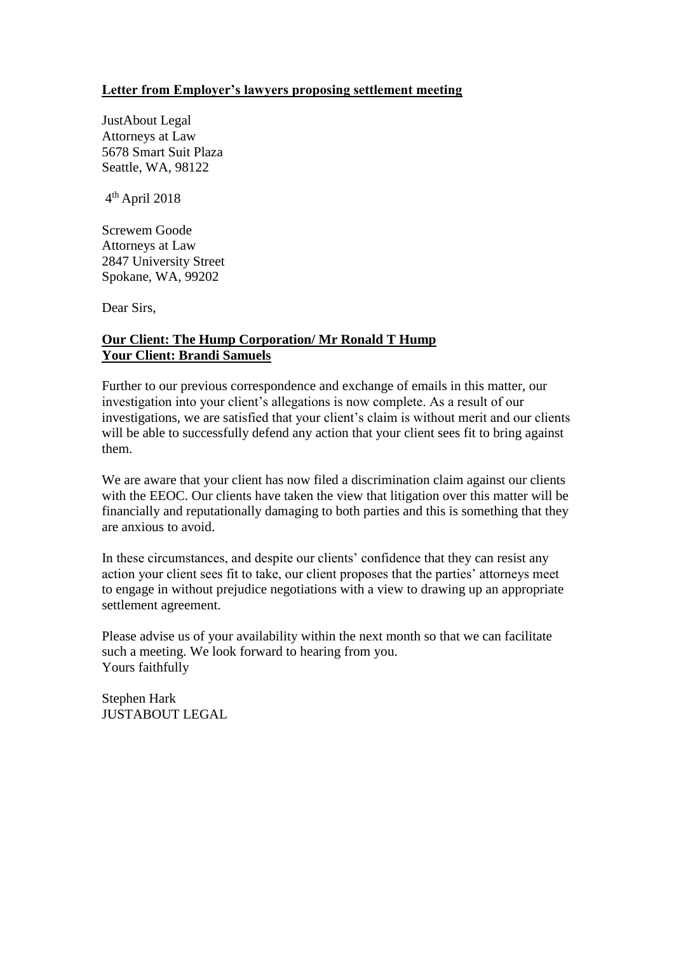#### **Letter from Employer's lawyers proposing settlement meeting**

JustAbout Legal Attorneys at Law 5678 Smart Suit Plaza Seattle, WA, 98122

4 th April 2018

Screwem Goode Attorneys at Law 2847 University Street Spokane, WA, 99202

Dear Sirs,

#### **Our Client: The Hump Corporation/ Mr Ronald T Hump Your Client: Brandi Samuels**

Further to our previous correspondence and exchange of emails in this matter, our investigation into your client's allegations is now complete. As a result of our investigations, we are satisfied that your client's claim is without merit and our clients will be able to successfully defend any action that your client sees fit to bring against them.

We are aware that your client has now filed a discrimination claim against our clients with the EEOC. Our clients have taken the view that litigation over this matter will be financially and reputationally damaging to both parties and this is something that they are anxious to avoid.

In these circumstances, and despite our clients' confidence that they can resist any action your client sees fit to take, our client proposes that the parties' attorneys meet to engage in without prejudice negotiations with a view to drawing up an appropriate settlement agreement.

Please advise us of your availability within the next month so that we can facilitate such a meeting. We look forward to hearing from you. Yours faithfully

Stephen Hark JUSTABOUT LEGAL